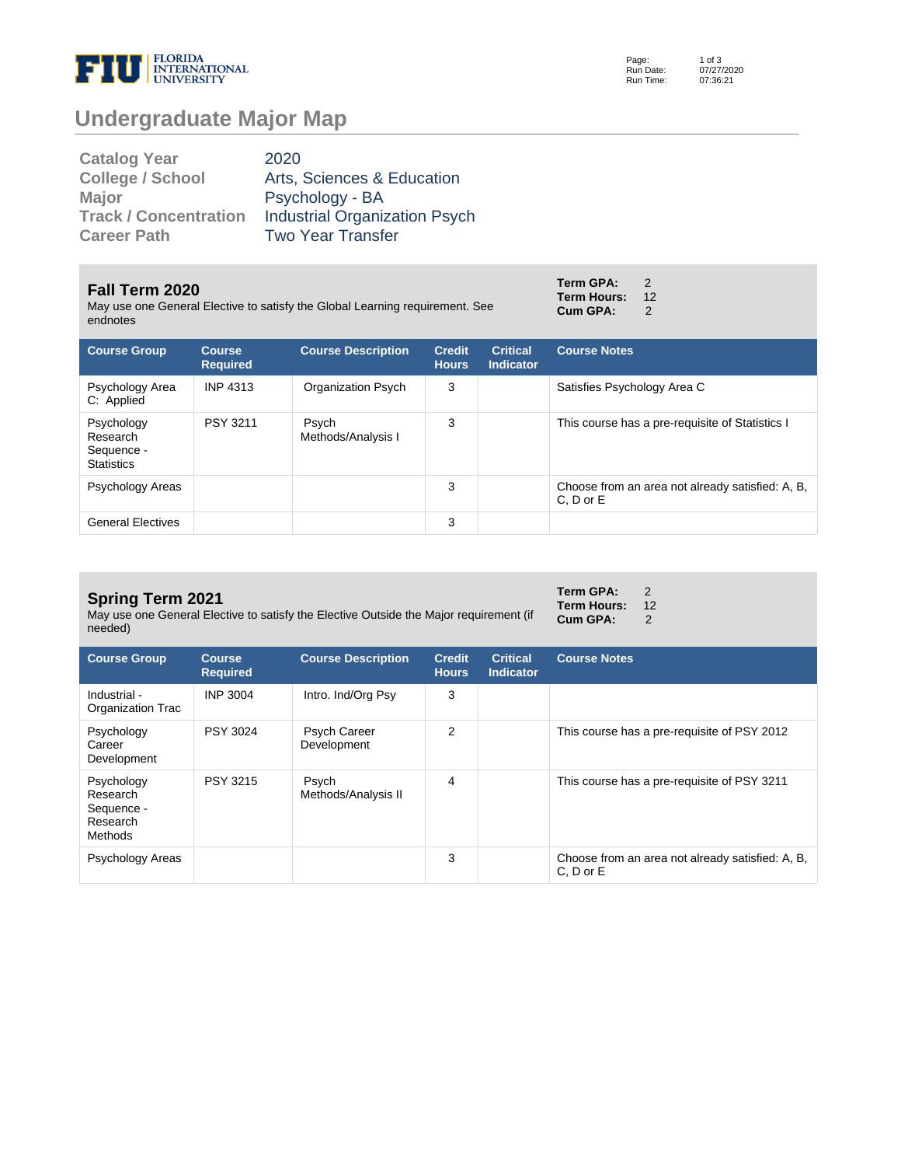

Page: Run Date: Run Time: 1 of 3 07/27/2020 07:36:21

# **Undergraduate Major Map**

| <b>Catalog Year</b>          | 2020                                 |
|------------------------------|--------------------------------------|
| <b>College / School</b>      | Arts, Sciences & Education           |
| <b>Major</b>                 | Psychology - BA                      |
| <b>Track / Concentration</b> | <b>Industrial Organization Psych</b> |
| <b>Career Path</b>           | <b>Two Year Transfer</b>             |

#### **Fall Term 2020**

May use one General Elective to satisfy the Global Learning requirement. See endnot

| endnotes                                                  |                                  |                             |                               |                                     |                                                  |
|-----------------------------------------------------------|----------------------------------|-----------------------------|-------------------------------|-------------------------------------|--------------------------------------------------|
| <b>Course Group</b>                                       | <b>Course</b><br><b>Required</b> | <b>Course Description</b>   | <b>Credit</b><br><b>Hours</b> | <b>Critical</b><br><b>Indicator</b> | <b>Course Notes</b>                              |
| Psychology Area<br>C: Applied                             | <b>INP 4313</b>                  | Organization Psych          | 3                             |                                     | Satisfies Psychology Area C                      |
| Psychology<br>Research<br>Sequence -<br><b>Statistics</b> | <b>PSY 3211</b>                  | Psych<br>Methods/Analysis I | 3                             |                                     | This course has a pre-requisite of Statistics I  |
| Psychology Areas                                          |                                  |                             | 3                             |                                     | Choose from an area not already satisfied: A, B, |

## **Spring Term 2021**

May use one General Elective to satisfy the Elective Outside the Major requirement (if needed)

General Electives **3** 

| <b>Course Group</b>                                         | <b>Course</b><br><b>Required</b> | <b>Course Description</b>          | <b>Credit</b><br><b>Hours</b> | <b>Critical</b><br><b>Indicator</b> | <b>Course Notes</b>                                               |
|-------------------------------------------------------------|----------------------------------|------------------------------------|-------------------------------|-------------------------------------|-------------------------------------------------------------------|
| Industrial -<br>Organization Trac                           | INP 3004                         | Intro. Ind/Org Psy                 | 3                             |                                     |                                                                   |
| Psychology<br>Career<br>Development                         | PSY 3024                         | <b>Psych Career</b><br>Development | 2                             |                                     | This course has a pre-requisite of PSY 2012                       |
| Psychology<br>Research<br>Sequence -<br>Research<br>Methods | PSY 3215                         | Psych<br>Methods/Analysis II       | 4                             |                                     | This course has a pre-requisite of PSY 3211                       |
| Psychology Areas                                            |                                  |                                    | 3                             |                                     | Choose from an area not already satisfied: A, B,<br>$C. D$ or $E$ |

| Term GPA:          | 2  |
|--------------------|----|
| <b>Term Hours:</b> | 12 |
| Cum GPA:           | 2  |

C, D or E

| Term GPA:       | 2  |
|-----------------|----|
| Term Hours:     | 12 |
| <b>Cum GPA:</b> | 2  |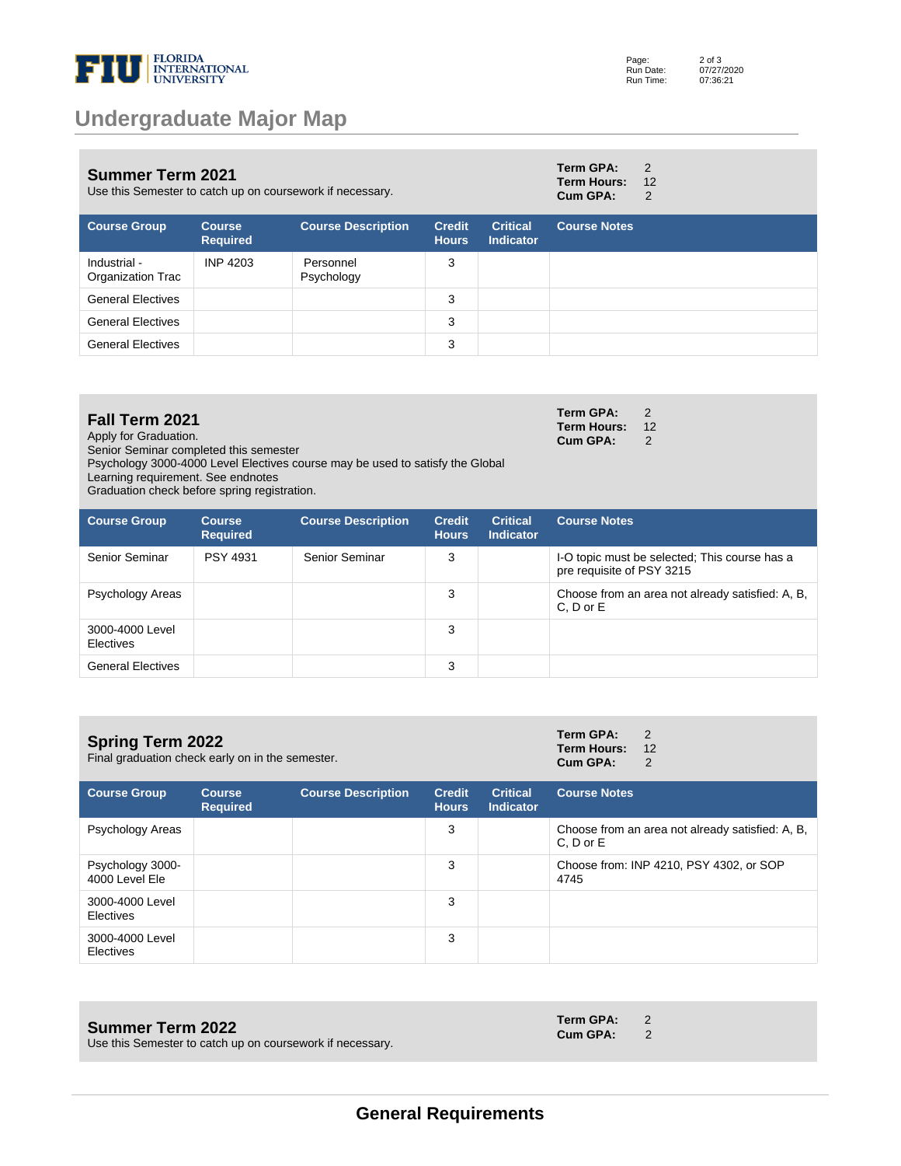

| <b>Summer Term 2021</b><br>Use this Semester to catch up on coursework if necessary. |                                  |                           |                               | Term GPA:<br><b>Term Hours:</b><br>Cum GPA: | 2<br>12<br>2        |  |
|--------------------------------------------------------------------------------------|----------------------------------|---------------------------|-------------------------------|---------------------------------------------|---------------------|--|
| <b>Course Group</b>                                                                  | <b>Course</b><br><b>Required</b> | <b>Course Description</b> | <b>Credit</b><br><b>Hours</b> | <b>Critical</b><br><b>Indicator</b>         | <b>Course Notes</b> |  |
| Industrial -<br>Organization Trac                                                    | INP 4203                         | Personnel<br>Psychology   | 3                             |                                             |                     |  |
| <b>General Electives</b>                                                             |                                  |                           | 3                             |                                             |                     |  |
| <b>General Electives</b>                                                             |                                  |                           | 3                             |                                             |                     |  |
| <b>General Electives</b>                                                             |                                  |                           | 3                             |                                             |                     |  |

# **Fall Term 2021**

Apply for Graduation.

Senior Seminar completed this semester

Psychology 3000-4000 Level Electives course may be used to satisfy the Global

Learning requirement. See endnotes

Graduation check before spring registration.

| <b>Course Group</b>          | <b>Course</b><br><b>Required</b> | <b>Course Description</b> | <b>Credit</b><br><b>Hours</b> | <b>Critical</b><br><b>Indicator</b> | <b>Course Notes</b>                                                        |
|------------------------------|----------------------------------|---------------------------|-------------------------------|-------------------------------------|----------------------------------------------------------------------------|
| Senior Seminar               | <b>PSY 4931</b>                  | Senior Seminar            | 3                             |                                     | I-O topic must be selected: This course has a<br>pre requisite of PSY 3215 |
| Psychology Areas             |                                  |                           | 3                             |                                     | Choose from an area not already satisfied: A, B,<br>C, D or E              |
| 3000-4000 Level<br>Electives |                                  |                           | 3                             |                                     |                                                                            |
| <b>General Electives</b>     |                                  |                           | 3                             |                                     |                                                                            |

| <b>Spring Term 2022</b><br>Final graduation check early on in the semester. |                                  |                           |                               | Term GPA:<br><b>Term Hours:</b><br>Cum GPA: | 2<br>12<br>2        |                                                  |
|-----------------------------------------------------------------------------|----------------------------------|---------------------------|-------------------------------|---------------------------------------------|---------------------|--------------------------------------------------|
| <b>Course Group</b>                                                         | <b>Course</b><br><b>Required</b> | <b>Course Description</b> | <b>Credit</b><br><b>Hours</b> | <b>Critical</b><br><b>Indicator</b>         | <b>Course Notes</b> |                                                  |
| Psychology Areas                                                            |                                  |                           | 3                             |                                             | $C. D$ or $E$       | Choose from an area not already satisfied: A, B, |
| Psychology 3000-<br>4000 Level Ele                                          |                                  |                           | 3                             |                                             | 4745                | Choose from: INP 4210, PSY 4302, or SOP          |
| 3000-4000 Level<br>Electives                                                |                                  |                           | 3                             |                                             |                     |                                                  |
| 3000-4000 Level<br>Electives                                                |                                  |                           | 3                             |                                             |                     |                                                  |

#### **Summer Term 2022**

Use this Semester to catch up on coursework if necessary.

**Term GPA:** 2

**Term GPA:** 2 **Term Hours:** 12<br>**Cum GPA:** 2 Cum GPA:

**Cum GPA:** 2